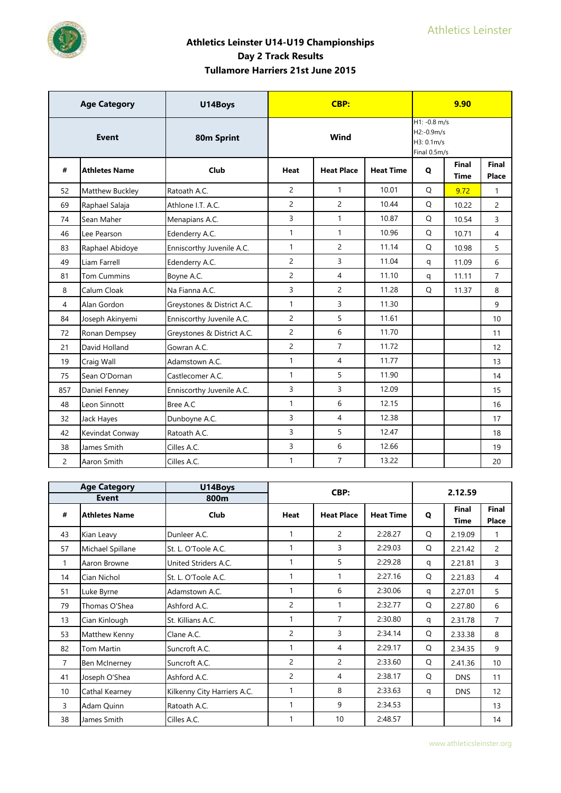

|                | <b>Age Category</b>  | U14Boys                    |                | CBP:              |                  |                                                            | 9.90          |                |
|----------------|----------------------|----------------------------|----------------|-------------------|------------------|------------------------------------------------------------|---------------|----------------|
|                | <b>Event</b>         | 80m Sprint                 |                | Wind              |                  | $H1: -0.8$ m/s<br>H2:-0.9m/s<br>H3: 0.1m/s<br>Final 0.5m/s |               |                |
| #              | <b>Athletes Name</b> | Club                       | Heat           | <b>Heat Place</b> | <b>Heat Time</b> | Q                                                          | Final<br>Time | Final<br>Place |
| 52             | Matthew Buckley      | Ratoath A.C.               | $\overline{2}$ | $\mathbf{1}$      | 10.01            | $\circ$                                                    | 9.72          | $\mathbf{1}$   |
| 69             | Raphael Salaja       | Athlone I.T. A.C.          | $\overline{2}$ | $\overline{2}$    | 10.44            | Q                                                          | 10.22         | $\overline{2}$ |
| 74             | Sean Maher           | Menapians A.C.             | 3              | $\mathbf{1}$      | 10.87            | Q                                                          | 10.54         | 3              |
| 46             | Lee Pearson          | Edenderry A.C.             | $\mathbf{1}$   | $\mathbf{1}$      | 10.96            | Q                                                          | 10.71         | $\overline{4}$ |
| 83             | Raphael Abidoye      | Enniscorthy Juvenile A.C.  | $\mathbf{1}$   | $\overline{2}$    | 11.14            | Q                                                          | 10.98         | 5              |
| 49             | Liam Farrell         | Edenderry A.C.             | $\overline{2}$ | $\overline{3}$    | 11.04            | q                                                          | 11.09         | 6              |
| 81             | <b>Tom Cummins</b>   | Boyne A.C.                 | $\overline{c}$ | $\overline{4}$    | 11.10            | q                                                          | 11.11         | $\overline{7}$ |
| 8              | Calum Cloak          | Na Fianna A.C.             | 3              | $\overline{2}$    | 11.28            | Q                                                          | 11.37         | 8              |
| 4              | Alan Gordon          | Greystones & District A.C. | $\mathbf{1}$   | 3                 | 11.30            |                                                            |               | 9              |
| 84             | Joseph Akinyemi      | Enniscorthy Juvenile A.C.  | $\overline{c}$ | 5                 | 11.61            |                                                            |               | 10             |
| 72             | Ronan Dempsey        | Greystones & District A.C. | $\overline{2}$ | 6                 | 11.70            |                                                            |               | 11             |
| 21             | David Holland        | Gowran A.C.                | $\overline{c}$ | $\overline{7}$    | 11.72            |                                                            |               | 12             |
| 19             | Craig Wall           | Adamstown A.C.             | $\mathbf{1}$   | $\overline{4}$    | 11.77            |                                                            |               | 13             |
| 75             | Sean O'Dornan        | Castlecomer A.C.           | $\mathbf{1}$   | 5                 | 11.90            |                                                            |               | 14             |
| 857            | Daniel Fenney        | Enniscorthy Juvenile A.C.  | 3              | $\overline{3}$    | 12.09            |                                                            |               | 15             |
| 48             | Leon Sinnott         | Bree A.C                   | $\mathbf{1}$   | 6                 | 12.15            |                                                            |               | 16             |
| 32             | Jack Hayes           | Dunboyne A.C.              | 3              | $\overline{4}$    | 12.38            |                                                            |               | 17             |
| 42             | Kevindat Conway      | Ratoath A.C.               | 3              | 5                 | 12.47            |                                                            |               | 18             |
| 38             | James Smith          | Cilles A.C.                | 3              | 6                 | 12.66            |                                                            |               | 19             |
| $\overline{2}$ | Aaron Smith          | Cilles A.C.                | $\mathbf{1}$   | $\overline{7}$    | 13.22            |                                                            |               | 20             |

|                 | <b>Age Category</b>  | U14Boys                     |                | CBP:              |                  |              | 2.12.59              |                              |
|-----------------|----------------------|-----------------------------|----------------|-------------------|------------------|--------------|----------------------|------------------------------|
|                 | <b>Event</b>         | 800m                        |                |                   |                  |              |                      |                              |
| #               | <b>Athletes Name</b> | Club                        | <b>Heat</b>    | <b>Heat Place</b> | <b>Heat Time</b> | $\mathbf{o}$ | <b>Final</b><br>Time | <b>Final</b><br><b>Place</b> |
| 43              | Kian Leavy           | Dunleer A.C.                | 1              | $\overline{2}$    | 2:28.27          | Q            | 2.19.09              | 1                            |
| 57              | Michael Spillane     | St. L. O'Toole A.C.         | 1              | 3                 | 2:29.03          | Q            | 2.21.42              | $\overline{2}$               |
| $\mathbf{1}$    | Aaron Browne         | United Striders A.C.        | 1              | 5                 | 2:29.28          | q            | 2.21.81              | 3                            |
| 14              | Cian Nichol          | St. L. O'Toole A.C.         |                |                   | 2:27.16          | Q            | 2.21.83              | 4                            |
| 51              | Luke Byrne           | Adamstown A.C.              | 1              | 6                 | 2:30.06          | q            | 2.27.01              | 5                            |
| 79              | Thomas O'Shea        | Ashford A.C.                | $\overline{c}$ | $\mathbf{1}$      | 2:32.77          | Q            | 2.27.80              | 6                            |
| 13              | Cian Kinlough        | St. Killians A.C.           | 1              | 7                 | 2:30.80          | q            | 2.31.78              | $\overline{7}$               |
| 53              | Matthew Kenny        | Clane A.C.                  | 2              | 3                 | 2:34.14          | Q            | 2.33.38              | 8                            |
| 82              | Tom Martin           | Suncroft A.C.               | 1              | $\overline{4}$    | 2:29.17          | Q            | 2.34.35              | 9                            |
| $\overline{7}$  | Ben McInerney        | Suncroft A.C.               | 2              | $\overline{2}$    | 2:33.60          | Q            | 2.41.36              | 10 <sup>10</sup>             |
| 41              | Joseph O'Shea        | Ashford A.C.                | 2              | $\overline{4}$    | 2:38.17          | Q            | <b>DNS</b>           | 11                           |
| 10 <sup>1</sup> | Cathal Kearney       | Kilkenny City Harriers A.C. | 1              | 8                 | 2:33.63          | q            | <b>DNS</b>           | 12                           |
| 3               | Adam Quinn           | Ratoath A.C.                | 1              | 9                 | 2:34.53          |              |                      | 13                           |
| 38              | James Smith          | Cilles A.C.                 |                | 10                | 2:48.57          |              |                      | 14                           |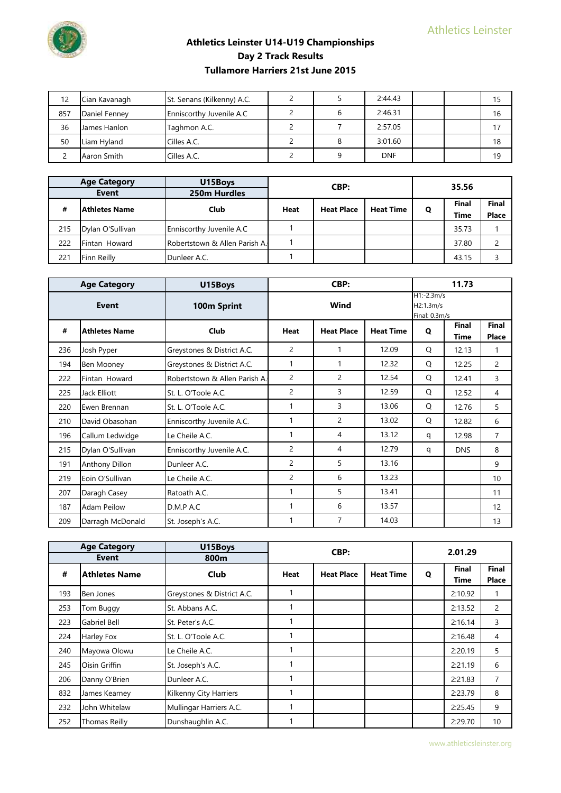

| 12  | Cian Kavanagh       | St. Senans (Kilkenny) A.C. |  | 2:44.43    |  |    |
|-----|---------------------|----------------------------|--|------------|--|----|
| 857 | Daniel Fenney       | Enniscorthy Juvenile A.C   |  | 2:46.31    |  | 16 |
| 36  | <b>James Hanlon</b> | Taghmon A.C.               |  | 2:57.05    |  |    |
| 50  | Liam Hyland         | Cilles A.C.                |  | 3:01.60    |  | 18 |
|     | Aaron Smith         | Cilles A.C.                |  | <b>DNF</b> |  | 19 |

|     | <b>Age Category</b><br>Event | U15Boys<br>250m Hurdles       | 35.56<br>CBP: |                   |                  |       |       |       |
|-----|------------------------------|-------------------------------|---------------|-------------------|------------------|-------|-------|-------|
| #   | lAthletes Name               | Club                          | <b>Heat</b>   | <b>Heat Place</b> | <b>Heat Time</b> | Q     | Final | Final |
|     |                              |                               |               |                   | <b>Time</b>      | Place |       |       |
| 215 | Dylan O'Sullivan             | Enniscorthy Juvenile A.C      |               |                   |                  |       | 35.73 |       |
| 222 | Fintan Howard                | Robertstown & Allen Parish A. |               |                   |                  |       | 37.80 |       |
| 221 | Finn Reilly                  | Dunleer A.C.                  |               |                   |                  |       | 43.15 |       |

|     | <b>Age Category</b>  | U15Boys                       |                | CBP:              |                  |                                            | 11.73                |                       |
|-----|----------------------|-------------------------------|----------------|-------------------|------------------|--------------------------------------------|----------------------|-----------------------|
|     | Event                | 100m Sprint                   |                | Wind              |                  | $H1:-2.3m/s$<br>H2:1.3m/s<br>Final: 0.3m/s |                      |                       |
| #   | <b>Athletes Name</b> | Club                          | Heat           | <b>Heat Place</b> | <b>Heat Time</b> | Q                                          | Final<br><b>Time</b> | <b>Final</b><br>Place |
| 236 | Josh Pyper           | Greystones & District A.C.    | 2              |                   | 12.09            | Q                                          | 12.13                | 1                     |
| 194 | Ben Mooney           | Greystones & District A.C.    | 1              |                   | 12.32            | Q                                          | 12.25                | 2                     |
| 222 | Fintan Howard        | Robertstown & Allen Parish A. | $\overline{2}$ | $\overline{2}$    | 12.54            | Q                                          | 12.41                | 3                     |
| 225 | Jack Elliott         | St. L. O'Toole A.C.           | 2              | 3                 | 12.59            | Q                                          | 12.52                | 4                     |
| 220 | Ewen Brennan         | St. L. O'Toole A.C.           | 1              | 3                 | 13.06            | Q                                          | 12.76                | 5                     |
| 210 | David Obasohan       | Enniscorthy Juvenile A.C.     | 1              | 2                 | 13.02            | O                                          | 12.82                | 6                     |
| 196 | Callum Ledwidge      | Le Cheile A.C.                | 1              | 4                 | 13.12            | q                                          | 12.98                | $\overline{7}$        |
| 215 | Dylan O'Sullivan     | Enniscorthy Juvenile A.C.     | 2              | 4                 | 12.79            | q                                          | <b>DNS</b>           | 8                     |
| 191 | Anthony Dillon       | Dunleer A.C.                  | $\overline{c}$ | 5                 | 13.16            |                                            |                      | 9                     |
| 219 | Eoin O'Sullivan      | Le Cheile A.C.                | 2              | 6                 | 13.23            |                                            |                      | 10                    |
| 207 | Daragh Casey         | Ratoath A.C.                  | 1              | 5                 | 13.41            |                                            |                      | 11                    |
| 187 | <b>Adam Peilow</b>   | D.M.P A.C                     | 1              | 6                 | 13.57            |                                            |                      | 12                    |
| 209 | Darragh McDonald     | St. Joseph's A.C.             | 1              | 7                 | 14.03            |                                            |                      | 13                    |

|     | <b>Age Category</b><br>Event | U15Boys<br>800m            |             | CBP:              |                  |   | 2.01.29              |                       |
|-----|------------------------------|----------------------------|-------------|-------------------|------------------|---|----------------------|-----------------------|
| #   | <b>Athletes Name</b>         | <b>Club</b>                | <b>Heat</b> | <b>Heat Place</b> | <b>Heat Time</b> | Q | <b>Final</b><br>Time | <b>Final</b><br>Place |
| 193 | Ben Jones                    | Greystones & District A.C. |             |                   |                  |   | 2:10.92              | 1                     |
| 253 | Tom Buggy                    | St. Abbans A.C.            |             |                   |                  |   | 2:13.52              | 2                     |
| 223 | Gabriel Bell                 | St. Peter's A.C.           |             |                   |                  |   | 2:16.14              | 3                     |
| 224 | Harley Fox                   | St. L. O'Toole A.C.        |             |                   |                  |   | 2:16.48              | 4                     |
| 240 | Mayowa Olowu                 | Le Cheile A.C.             |             |                   |                  |   | 2:20.19              | 5                     |
| 245 | Oisin Griffin                | St. Joseph's A.C.          |             |                   |                  |   | 2:21.19              | 6                     |
| 206 | Danny O'Brien                | Dunleer A.C.               |             |                   |                  |   | 2:21.83              | $\overline{7}$        |
| 832 | James Kearney                | Kilkenny City Harriers     |             |                   |                  |   | 2:23.79              | 8                     |
| 232 | John Whitelaw                | Mullingar Harriers A.C.    |             |                   |                  |   | 2:25.45              | 9                     |
| 252 | <b>Thomas Reilly</b>         | Dunshaughlin A.C.          |             |                   |                  |   | 2:29.70              | 10                    |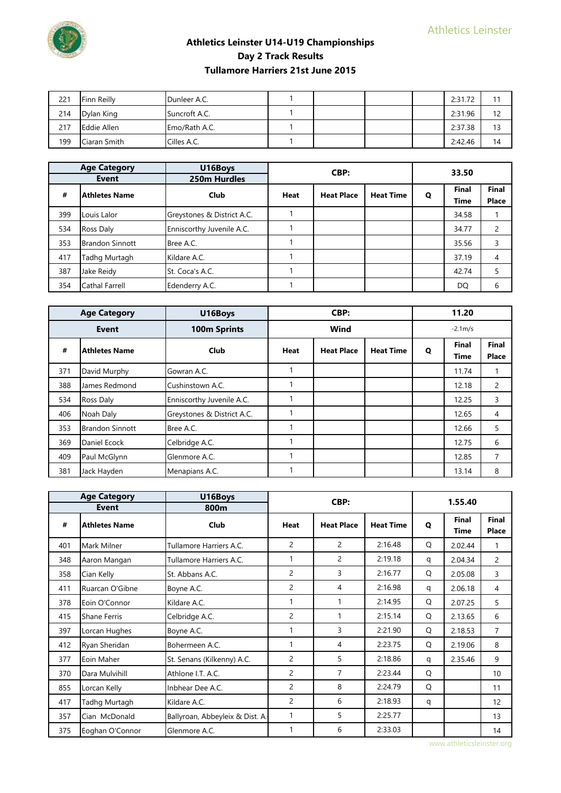

| 221 | Finn Reilly         | Dunleer A.C.  |  |  | 2:31.72 | 11 |
|-----|---------------------|---------------|--|--|---------|----|
| 214 | Dylan King          | Suncroft A.C. |  |  | 2:31.96 | 12 |
|     |                     |               |  |  |         |    |
| 217 | <b>E</b> ddie Allen | Emo/Rath A.C. |  |  | 2:37.38 | 13 |

|     | <b>Age Category</b>    | U16Boys                    |             | CBP:              |                  |   | 33.50       |       |
|-----|------------------------|----------------------------|-------------|-------------------|------------------|---|-------------|-------|
|     | Event                  | 250m Hurdles               |             |                   |                  |   |             |       |
| #   | <b>Athletes Name</b>   | <b>Club</b>                | <b>Heat</b> | <b>Heat Place</b> | <b>Heat Time</b> | Q | Final       | Final |
|     |                        |                            |             |                   |                  |   | <b>Time</b> | Place |
| 399 | Louis Lalor            | Greystones & District A.C. |             |                   |                  |   | 34.58       |       |
| 534 | Ross Daly              | Enniscorthy Juvenile A.C.  |             |                   |                  |   | 34.77       | 2     |
| 353 | <b>Brandon Sinnott</b> | Bree A.C.                  |             |                   |                  |   | 35.56       | 3     |
| 417 | Tadhg Murtagh          | Kildare A.C.               |             |                   |                  |   | 37.19       | 4     |
| 387 | Jake Reidy             | St. Coca's A.C.            |             |                   |                  |   | 42.74       | 5     |
| 354 | Cathal Farrell         | Edenderry A.C.             |             |                   |                  |   | DQ          | 6     |

|     | <b>Age Category</b>    | U16Boys                    |             | CBP:              |                  | 11.20     |                      |                              |
|-----|------------------------|----------------------------|-------------|-------------------|------------------|-----------|----------------------|------------------------------|
|     | <b>Event</b>           | 100m Sprints               | Wind        |                   |                  | $-2.1m/s$ |                      |                              |
| #   | <b>Athletes Name</b>   | <b>Club</b>                | <b>Heat</b> | <b>Heat Place</b> | <b>Heat Time</b> | O         | <b>Final</b><br>Time | <b>Final</b><br><b>Place</b> |
| 371 | David Murphy           | Gowran A.C.                |             |                   |                  |           | 11.74                |                              |
| 388 | James Redmond          | Cushinstown A.C.           |             |                   |                  |           | 12.18                | 2                            |
| 534 | Ross Daly              | Enniscorthy Juvenile A.C.  |             |                   |                  |           | 12.25                | 3                            |
| 406 | Noah Daly              | Greystones & District A.C. |             |                   |                  |           | 12.65                | 4                            |
| 353 | <b>Brandon Sinnott</b> | Bree A.C.                  |             |                   |                  |           | 12.66                | 5                            |
| 369 | Daniel Ecock           | Celbridge A.C.             |             |                   |                  |           | 12.75                | 6                            |
| 409 | Paul McGlynn           | Glenmore A.C.              |             |                   |                  |           | 12.85                | 7                            |
| 381 | Jack Hayden            | Menapians A.C.             |             |                   |                  |           | 13.14                | 8                            |

|     | <b>Age Category</b>  | U16Boys                         |                | CBP:              |                  |   | 1.55.40                     |                       |
|-----|----------------------|---------------------------------|----------------|-------------------|------------------|---|-----------------------------|-----------------------|
|     | Event                | 800m                            |                |                   |                  |   |                             |                       |
| #   | <b>Athletes Name</b> | <b>Club</b>                     | Heat           | <b>Heat Place</b> | <b>Heat Time</b> | O | <b>Final</b><br><b>Time</b> | <b>Final</b><br>Place |
| 401 | Mark Milner          | Tullamore Harriers A.C.         | 2              | $\overline{2}$    | 2:16.48          | Q | 2.02.44                     | 1                     |
| 348 | Aaron Mangan         | Tullamore Harriers A.C.         | 1              | $\overline{c}$    | 2:19.18          | q | 2.04.34                     | 2                     |
| 358 | Cian Kelly           | St. Abbans A.C.                 | $\overline{c}$ | 3                 | 2:16.77          | Q | 2.05.08                     | 3                     |
| 411 | Ruarcan O'Gibne      | Boyne A.C.                      | 2              | 4                 | 2:16.98          | q | 2.06.18                     | 4                     |
| 378 | Eoin O'Connor        | Kildare A.C.                    | 1              |                   | 2:14.95          | Q | 2.07.25                     | 5                     |
| 415 | <b>Shane Ferris</b>  | Celbridge A.C.                  | $\overline{c}$ | 1                 | 2:15.14          | Q | 2.13.65                     | 6                     |
| 397 | Lorcan Hughes        | Boyne A.C.                      | 1              | 3                 | 2:21.90          | Q | 2.18.53                     | $\overline{7}$        |
| 412 | Ryan Sheridan        | Bohermeen A.C.                  | 1              | 4                 | 2:23.75          | Q | 2.19.06                     | 8                     |
| 377 | Eoin Maher           | St. Senans (Kilkenny) A.C.      | 2              | 5                 | 2:18.86          | q | 2.35.46                     | 9                     |
| 370 | Dara Mulvihill       | Athlone I.T. A.C.               | 2              | 7                 | 2:23.44          | Q |                             | 10                    |
| 855 | Lorcan Kelly         | Inbhear Dee A.C.                | 2              | 8                 | 2:24.79          | Q |                             | 11                    |
| 417 | Tadhg Murtagh        | Kildare A.C.                    | $\overline{c}$ | 6                 | 2:18.93          | q |                             | 12                    |
| 357 | Cian McDonald        | Ballyroan, Abbeyleix & Dist. A. | 1              | 5                 | 2:25.77          |   |                             | 13                    |
| 375 | Eoghan O'Connor      | Glenmore A.C.                   |                | 6                 | 2:33.03          |   |                             | 14                    |

www.athleticsleinster.org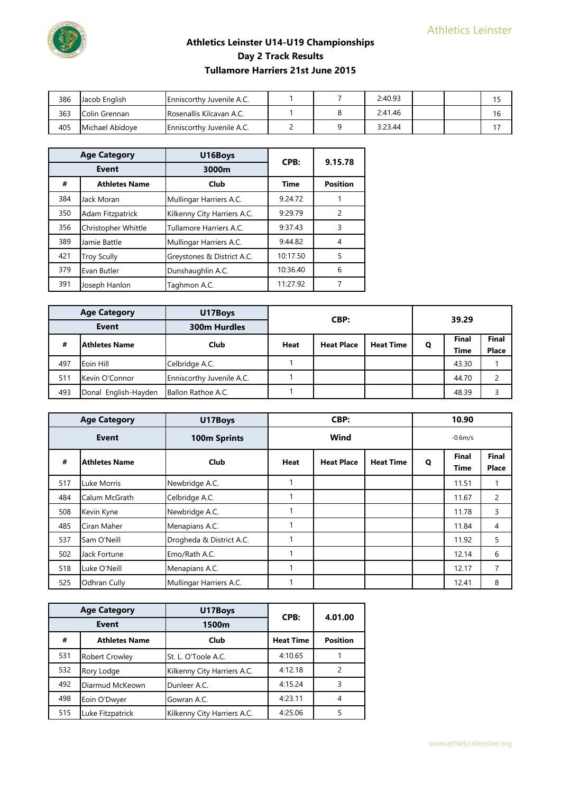

| 386 | Jacob English   | <b>Enniscorthy Juvenile A.C.</b> |  | 2:40.93 |  |     |
|-----|-----------------|----------------------------------|--|---------|--|-----|
| 363 | Colin Grennan   | <b>Rosenallis Kilcavan A.C.</b>  |  | 2:41.46 |  | 16  |
| 405 | Michael Abidove | <b>Enniscorthy Juvenile A.C.</b> |  | 3:23.44 |  | 1 T |

|     | <b>Age Category</b>     | U16Boys                     | CPB:        | 9.15.78         |
|-----|-------------------------|-----------------------------|-------------|-----------------|
|     | Event                   | 3000m                       |             |                 |
| #   | <b>Athletes Name</b>    | Club                        | <b>Time</b> | <b>Position</b> |
| 384 | Jack Moran              | Mullingar Harriers A.C.     | 9.24.72     |                 |
| 350 | <b>Adam Fitzpatrick</b> | Kilkenny City Harriers A.C. | 9:29.79     | $\mathcal{P}$   |
| 356 | Christopher Whittle     | Tullamore Harriers A.C.     | 9:37.43     | 3               |
| 389 | Jamie Battle            | Mullingar Harriers A.C.     | 9:44.82     | 4               |
| 421 | <b>Troy Scully</b>      | Greystones & District A.C.  | 10:17.50    | 5               |
| 379 | Evan Butler             | Dunshaughlin A.C.           | 10:36.40    | 6               |
| 391 | Joseph Hanlon           | Taghmon A.C.                | 11:27.92    |                 |

| <b>Age Category</b> |                      | U17Boys                   |      | CBP:              |                  |   | 39.29                       |                       |  |
|---------------------|----------------------|---------------------------|------|-------------------|------------------|---|-----------------------------|-----------------------|--|
| Event               |                      | <b>300m Hurdles</b>       |      |                   |                  |   |                             |                       |  |
| #                   | l Athletes Name      | Club                      | Heat | <b>Heat Place</b> | <b>Heat Time</b> | Q | <b>Final</b><br><b>Time</b> | Final<br><b>Place</b> |  |
|                     |                      |                           |      |                   |                  |   |                             |                       |  |
| 497                 | Eoin Hill            | Celbridge A.C.            |      |                   |                  |   | 43.30                       |                       |  |
| 511                 | Kevin O'Connor       | Enniscorthy Juvenile A.C. |      |                   |                  |   | 44.70                       |                       |  |
| 493                 | Donal English-Hayden | Ballon Rathoe A.C.        |      |                   |                  |   | 48.39                       |                       |  |

| <b>Age Category</b> |                      | U17Boys                  | CBP:        |                   | 10.90            |           |                      |                |
|---------------------|----------------------|--------------------------|-------------|-------------------|------------------|-----------|----------------------|----------------|
| <b>Event</b>        |                      | 100m Sprints             |             | Wind              |                  | $-0.6m/s$ |                      |                |
| #                   | <b>Athletes Name</b> | <b>Club</b>              | <b>Heat</b> | <b>Heat Place</b> | <b>Heat Time</b> | Q         | <b>Final</b><br>Time | Final<br>Place |
| 517                 | Luke Morris          | Newbridge A.C.           |             |                   |                  |           | 11.51                | 1              |
| 484                 | Calum McGrath        | Celbridge A.C.           |             |                   |                  |           | 11.67                | $\overline{2}$ |
| 508                 | Kevin Kyne           | Newbridge A.C.           |             |                   |                  |           | 11.78                | 3              |
| 485                 | Ciran Maher          | Menapians A.C.           |             |                   |                  |           | 11.84                | 4              |
| 537                 | Sam O'Neill          | Drogheda & District A.C. |             |                   |                  |           | 11.92                | 5              |
| 502                 | Jack Fortune         | Emo/Rath A.C.            |             |                   |                  |           | 12.14                | 6              |
| 518                 | Luke O'Neill         | Menapians A.C.           |             |                   |                  |           | 12.17                | 7              |
| 525                 | Odhran Cully         | Mullingar Harriers A.C.  |             |                   |                  |           | 12.41                | 8              |

|       | <b>Age Category</b>   | U17Boys                     | CPB:             | 4.01.00         |  |
|-------|-----------------------|-----------------------------|------------------|-----------------|--|
| Event |                       | 1500m                       |                  |                 |  |
| #     | <b>Athletes Name</b>  | Club                        | <b>Heat Time</b> | <b>Position</b> |  |
| 531   | <b>Robert Crowley</b> | St. L. O'Toole A.C.         | 4:10.65          |                 |  |
| 532   | Rory Lodge            | Kilkenny City Harriers A.C. | 4:12.18          |                 |  |
| 492   | Diarmud McKeown       | Dunleer A.C.                | 4:15.24          | 3               |  |
| 498   | Eoin O'Dwyer          | Gowran A.C.                 | 4:23.11          | 4               |  |
| 515   | Luke Fitzpatrick      | Kilkenny City Harriers A.C. | 4:25.06          |                 |  |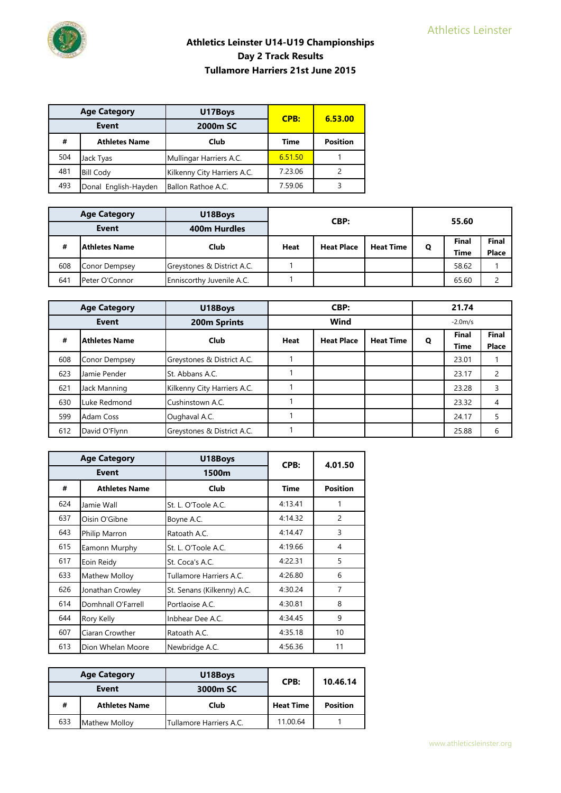| <b>Age Category</b><br>Event |                      | U17Boys                     | CPB:        | 6.53.00         |  |
|------------------------------|----------------------|-----------------------------|-------------|-----------------|--|
|                              |                      | 2000m SC                    |             |                 |  |
| #                            | <b>Athletes Name</b> | Club                        | <b>Time</b> | <b>Position</b> |  |
| 504                          | Jack Tyas            | Mullingar Harriers A.C.     | 6.51.50     |                 |  |
| 481                          | <b>Bill Cody</b>     | Kilkenny City Harriers A.C. | 7.23.06     |                 |  |
| 493                          | Donal English-Hayden | Ballon Rathoe A.C.          | 7.59.06     |                 |  |

| <b>Age Category</b> |                 | U18Boys                    |                           | CBP: |                  | 55.60       |       |              |
|---------------------|-----------------|----------------------------|---------------------------|------|------------------|-------------|-------|--------------|
| Event               |                 | 400m Hurdles               |                           |      |                  |             |       |              |
| #                   | l Athletes Name | Club                       | <b>Heat Place</b><br>Heat |      | <b>Heat Time</b> | Q           | Final | <b>Final</b> |
|                     |                 |                            |                           |      |                  | <b>Time</b> | Place |              |
| 608                 | Conor Dempsey   | Greystones & District A.C. |                           |      |                  |             | 58.62 |              |
| 641                 | Peter O'Connor  | Enniscorthy Juvenile A.C.  |                           |      |                  |             | 65.60 |              |

|              | <b>Age Category</b>  | U18Boys                     | CBP:        |                   |                  | 21.74 |                      |                       |  |
|--------------|----------------------|-----------------------------|-------------|-------------------|------------------|-------|----------------------|-----------------------|--|
| <b>Event</b> |                      | 200m Sprints                |             | Wind              |                  |       | $-2.0m/s$            |                       |  |
| #            | <b>Athletes Name</b> | Club                        | <b>Heat</b> | <b>Heat Place</b> | <b>Heat Time</b> | Q     | <b>Final</b><br>Time | <b>Final</b><br>Place |  |
| 608          | Conor Dempsey        | Greystones & District A.C.  |             |                   |                  |       | 23.01                |                       |  |
| 623          | Jamie Pender         | St. Abbans A.C.             |             |                   |                  |       | 23.17                | 2                     |  |
| 621          | Jack Manning         | Kilkenny City Harriers A.C. |             |                   |                  |       | 23.28                | 3                     |  |
| 630          | Luke Redmond         | Cushinstown A.C.            |             |                   |                  |       | 23.32                | 4                     |  |
| 599          | Adam Coss            | Oughaval A.C.               |             |                   |                  |       | 24.17                | 5                     |  |
| 612          | David O'Flynn        | Greystones & District A.C.  |             |                   |                  |       | 25.88                | 6                     |  |

|     | <b>Age Category</b>  | U18Boys                    | CPB:        | 4.01.50         |  |
|-----|----------------------|----------------------------|-------------|-----------------|--|
|     | Event                | 1500m                      |             |                 |  |
| #   | <b>Athletes Name</b> | Club                       | <b>Time</b> | <b>Position</b> |  |
| 624 | Jamie Wall           | St. L. O'Toole A.C.        | 4:13.41     |                 |  |
| 637 | Oisin O'Gibne        | Boyne A.C.                 | 4:14.32     | $\overline{c}$  |  |
| 643 | Philip Marron        | Ratoath A.C.               | 4:14.47     | 3               |  |
| 615 | Eamonn Murphy        | St. L. O'Toole A.C.        | 4:19.66     | 4               |  |
| 617 | Eoin Reidy           | St. Coca's A.C.            | 4:22.31     | 5               |  |
| 633 | Mathew Molloy        | Tullamore Harriers A.C.    | 4:26.80     | 6               |  |
| 626 | Jonathan Crowley     | St. Senans (Kilkenny) A.C. | 4:30.24     | $\overline{7}$  |  |
| 614 | Domhnall O'Farrell   | Portlaoise A.C.            | 4:30.81     | 8               |  |
| 644 | Rory Kelly           | Inbhear Dee A.C.           | 4:34.45     | 9               |  |
| 607 | Ciaran Crowther      | Ratoath A.C.               | 4:35.18     | 10              |  |
| 613 | Dion Whelan Moore    | Newbridge A.C.             | 4:56.36     | 11              |  |

| <b>Age Category</b><br>Event |                      | U18Boys                 | CPB:             | 10.46.14        |
|------------------------------|----------------------|-------------------------|------------------|-----------------|
|                              |                      | 3000m SC                |                  |                 |
| #                            | <b>Athletes Name</b> | Club                    | <b>Heat Time</b> | <b>Position</b> |
| 633                          | <b>Mathew Mollov</b> | Tullamore Harriers A.C. | 11.00.64         |                 |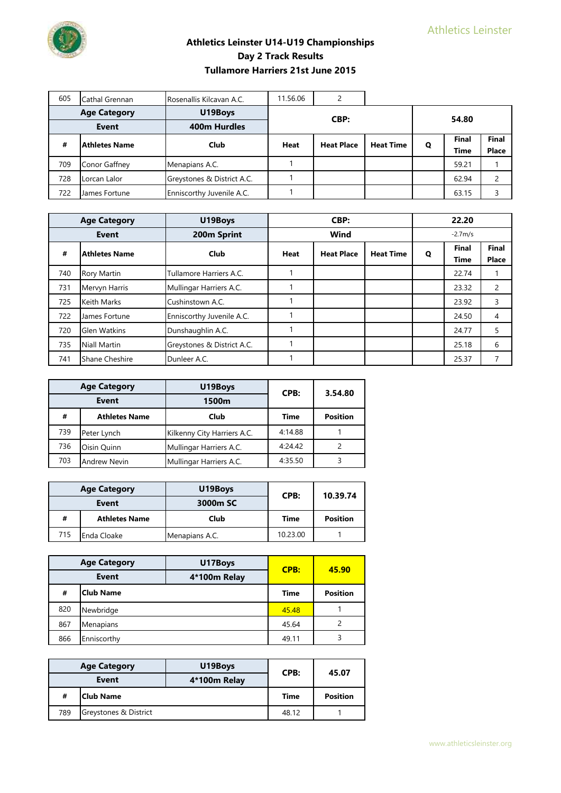

| 605                            | Cathal Grennan       | Rosenallis Kilcavan A.C.   | 11.56.06                         |  |                  |       |       |              |  |
|--------------------------------|----------------------|----------------------------|----------------------------------|--|------------------|-------|-------|--------------|--|
| <b>Age Category</b><br>U19Boys |                      |                            |                                  |  |                  | 54.80 |       |              |  |
|                                | <b>Event</b>         | <b>400m Hurdles</b>        | CBP:                             |  |                  |       |       |              |  |
| #                              | <b>Athletes Name</b> | Club                       | <b>Heat Place</b><br><b>Heat</b> |  | <b>Heat Time</b> | Q     | Final | Final        |  |
|                                |                      |                            |                                  |  |                  |       | Time  | <b>Place</b> |  |
| 709                            | Conor Gaffney        | Menapians A.C.             |                                  |  |                  |       | 59.21 |              |  |
| 728                            | Lorcan Lalor         | Greystones & District A.C. |                                  |  |                  |       | 62.94 |              |  |
| 722                            | James Fortune        | Enniscorthy Juvenile A.C.  |                                  |  |                  |       | 63.15 |              |  |

|     | <b>Age Category</b>  | U19Boys                    | CBP:        |                   |                  | 22.20     |                      |                       |
|-----|----------------------|----------------------------|-------------|-------------------|------------------|-----------|----------------------|-----------------------|
|     | Event                | 200m Sprint                |             | Wind              |                  | $-2.7m/s$ |                      |                       |
| #   | <b>Athletes Name</b> | Club                       | <b>Heat</b> | <b>Heat Place</b> | <b>Heat Time</b> | Q         | <b>Final</b><br>Time | <b>Final</b><br>Place |
| 740 | <b>Rory Martin</b>   | Tullamore Harriers A.C.    |             |                   |                  |           | 22.74                |                       |
| 731 | Mervyn Harris        | Mullingar Harriers A.C.    |             |                   |                  |           | 23.32                | $\overline{2}$        |
| 725 | <b>Keith Marks</b>   | Cushinstown A.C.           |             |                   |                  |           | 23.92                | 3                     |
| 722 | James Fortune        | Enniscorthy Juvenile A.C.  |             |                   |                  |           | 24.50                | 4                     |
| 720 | Glen Watkins         | Dunshaughlin A.C.          |             |                   |                  |           | 24.77                | 5                     |
| 735 | <b>Niall Martin</b>  | Greystones & District A.C. |             |                   |                  |           | 25.18                | 6                     |
| 741 | Shane Cheshire       | Dunleer A.C.               |             |                   |                  |           | 25.37                |                       |

| <b>Age Category</b><br>Event |                      | U19Boys                     | CPB:    | 3.54.80         |  |
|------------------------------|----------------------|-----------------------------|---------|-----------------|--|
|                              |                      | 1500m                       |         |                 |  |
| #                            | <b>Athletes Name</b> | Club                        | Time    | <b>Position</b> |  |
| 739                          | Peter Lynch          | Kilkenny City Harriers A.C. | 4:14.88 |                 |  |
| 736                          | Oisin Ouinn          | Mullingar Harriers A.C.     | 4:24.42 |                 |  |
| 703                          | <b>Andrew Nevin</b>  | Mullingar Harriers A.C.     | 4:35.50 |                 |  |

| <b>Age Category</b><br>Event |                      | U19Boys        | CPB:        | 10.39.74        |
|------------------------------|----------------------|----------------|-------------|-----------------|
|                              |                      | 3000m SC       |             |                 |
| #                            | <b>Athletes Name</b> | Club           | <b>Time</b> | <b>Position</b> |
| 715                          | Enda Cloake          | Menapians A.C. | 10.23.00    |                 |

| <b>Age Category</b><br><b>Event</b> |                  | U17Boys      | CPB:        | 45.90           |  |
|-------------------------------------|------------------|--------------|-------------|-----------------|--|
|                                     |                  | 4*100m Relay |             |                 |  |
| #                                   | <b>Club Name</b> |              | <b>Time</b> | <b>Position</b> |  |
| 820                                 | Newbridge        |              | 45.48       |                 |  |
| 867                                 | Menapians        |              | 45.64       |                 |  |
| 866                                 | Enniscorthy      | 49.11        |             |                 |  |

| <b>Age Category</b> |                       | U19Boys      | CPB:        | 45.07           |
|---------------------|-----------------------|--------------|-------------|-----------------|
| Event               |                       | 4*100m Relay |             |                 |
| #                   | Club Name             |              | <b>Time</b> | <b>Position</b> |
| 789                 | Greystones & District |              | 48.12       |                 |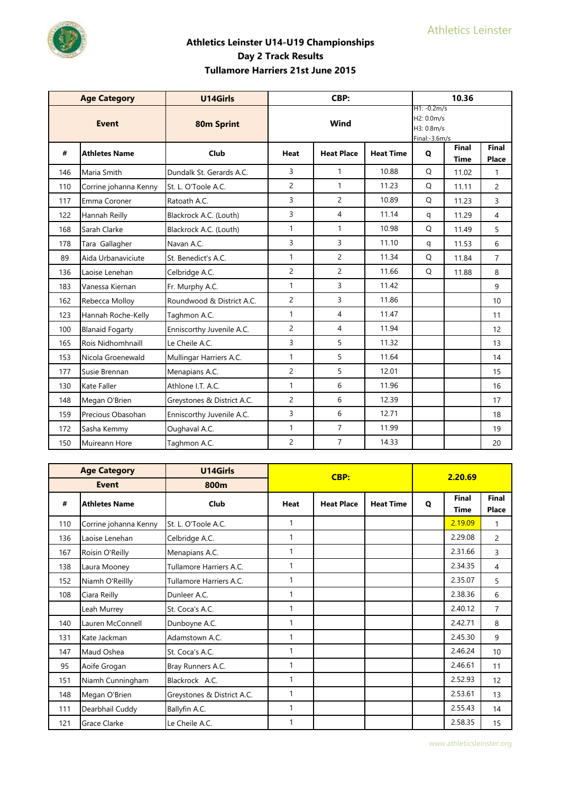

|     | <b>Age Category</b>    | U14Girls                   |                | CBP:              |                  |                                                            | 10.36                |                |
|-----|------------------------|----------------------------|----------------|-------------------|------------------|------------------------------------------------------------|----------------------|----------------|
|     | <b>Event</b>           | <b>80m Sprint</b>          |                | Wind              |                  | $H1: -0.2m/s$<br>H2: 0.0m/s<br>H3: 0.8m/s<br>Final:-3.6m/s |                      |                |
| #   | <b>Athletes Name</b>   | Club                       | Heat           | <b>Heat Place</b> | <b>Heat Time</b> | Q                                                          | Final<br><b>Time</b> | Final<br>Place |
| 146 | Maria Smith            | Dundalk St. Gerards A.C.   | 3              | 1                 | 10.88            | Q                                                          | 11.02                | 1              |
| 110 | Corrine johanna Kenny  | St. L. O'Toole A.C.        | $\overline{c}$ | $\mathbf{1}$      | 11.23            | Q                                                          | 11.11                | $\overline{2}$ |
| 117 | Emma Coroner           | Ratoath A.C.               | 3              | $\overline{c}$    | 10.89            | Q                                                          | 11.23                | 3              |
| 122 | Hannah Reilly          | Blackrock A.C. (Louth)     | 3              | $\overline{4}$    | 11.14            | q                                                          | 11.29                | $\overline{4}$ |
| 168 | Sarah Clarke           | Blackrock A.C. (Louth)     | $\mathbf{1}$   | 1                 | 10.98            | Q                                                          | 11.49                | 5              |
| 178 | Tara Gallagher         | Navan A.C.                 | $\overline{3}$ | $\overline{3}$    | 11.10            | q                                                          | 11.53                | 6              |
| 89  | Aida Urbanaviciute     | St. Benedict's A.C.        | $\mathbf{1}$   | $\overline{2}$    | 11.34            | Q                                                          | 11.84                | $\overline{7}$ |
| 136 | Laoise Lenehan         | Celbridge A.C.             | $\overline{c}$ | $\overline{c}$    | 11.66            | Q                                                          | 11.88                | 8              |
| 183 | Vanessa Kiernan        | Fr. Murphy A.C.            | $\mathbf{1}$   | $\overline{3}$    | 11.42            |                                                            |                      | 9              |
| 162 | Rebecca Molloy         | Roundwood & District A.C.  | $\overline{c}$ | 3                 | 11.86            |                                                            |                      | 10             |
| 123 | Hannah Roche-Kelly     | Taghmon A.C.               | $\mathbf{1}$   | $\overline{4}$    | 11.47            |                                                            |                      | 11             |
| 100 | <b>Blanaid Fogarty</b> | Enniscorthy Juvenile A.C.  | $\overline{2}$ | $\overline{4}$    | 11.94            |                                                            |                      | 12             |
| 165 | Rois Nidhomhnaill      | Le Cheile A.C.             | 3              | 5                 | 11.32            |                                                            |                      | 13             |
| 153 | Nicola Groenewald      | Mullingar Harriers A.C.    | $\mathbf{1}$   | 5                 | 11.64            |                                                            |                      | 14             |
| 177 | Susie Brennan          | Menapians A.C.             | $\overline{c}$ | 5                 | 12.01            |                                                            |                      | 15             |
| 130 | Kate Faller            | Athlone I.T. A.C.          | $\mathbf{1}$   | 6                 | 11.96            |                                                            |                      | 16             |
| 148 | Megan O'Brien          | Greystones & District A.C. | $\overline{c}$ | 6                 | 12.39            |                                                            |                      | 17             |
| 159 | Precious Obasohan      | Enniscorthy Juvenile A.C.  | 3              | 6                 | 12.71            |                                                            |                      | 18             |
| 172 | Sasha Kemmy            | Oughaval A.C.              | $\mathbf{1}$   | $\overline{7}$    | 11.99            |                                                            |                      | 19             |
| 150 | Muireann Hore          | Taghmon A.C.               | $\overline{2}$ | $\overline{7}$    | 14.33            |                                                            |                      | 20             |

|     | <b>Age Category</b>   | U14Girls                   |              | CBP:              |                  |              | 2.20.69                     |                       |
|-----|-----------------------|----------------------------|--------------|-------------------|------------------|--------------|-----------------------------|-----------------------|
|     | <b>Event</b>          | 800m                       |              |                   |                  |              |                             |                       |
| #   | <b>Athletes Name</b>  | Club                       | Heat         | <b>Heat Place</b> | <b>Heat Time</b> | $\mathbf{o}$ | <b>Final</b><br><b>Time</b> | <b>Final</b><br>Place |
| 110 | Corrine johanna Kenny | St. L. O'Toole A.C.        | 1            |                   |                  |              | 2.19.09                     | $\mathbf{1}$          |
| 136 | Laoise Lenehan        | Celbridge A.C.             | 1            |                   |                  |              | 2.29.08                     | $\overline{2}$        |
| 167 | Roisin O'Reilly       | Menapians A.C.             | 1            |                   |                  |              | 2.31.66                     | 3                     |
| 138 | Laura Mooney          | Tullamore Harriers A.C.    | 1            |                   |                  |              | 2.34.35                     | 4                     |
| 152 | Niamh O'Reillly       | Tullamore Harriers A.C.    | $\mathbf{1}$ |                   |                  |              | 2.35.07                     | 5                     |
| 108 | Ciara Reilly          | Dunleer A.C.               | 1            |                   |                  |              | 2.38.36                     | 6                     |
|     | Leah Murrey           | St. Coca's A.C.            | 1            |                   |                  |              | 2.40.12                     | $\overline{7}$        |
| 140 | Lauren McConnell      | Dunboyne A.C.              | 1            |                   |                  |              | 2.42.71                     | 8                     |
| 131 | Kate Jackman          | Adamstown A.C.             | 1            |                   |                  |              | 2.45.30                     | 9                     |
| 147 | Maud Oshea            | St. Coca's A.C.            | 1            |                   |                  |              | 2.46.24                     | 10                    |
| 95  | Aoife Grogan          | Bray Runners A.C.          | $\mathbf{1}$ |                   |                  |              | 2.46.61                     | 11                    |
| 151 | Niamh Cunningham      | Blackrock A.C.             | 1            |                   |                  |              | 2.52.93                     | 12                    |
| 148 | Megan O'Brien         | Greystones & District A.C. | 1            |                   |                  |              | 2.53.61                     | 13                    |
| 111 | Dearbhail Cuddy       | Ballyfin A.C.              | $\mathbf{1}$ |                   |                  |              | 2.55.43                     | 14                    |
| 121 | <b>Grace Clarke</b>   | Le Cheile A.C.             |              |                   |                  |              | 2.58.35                     | 15                    |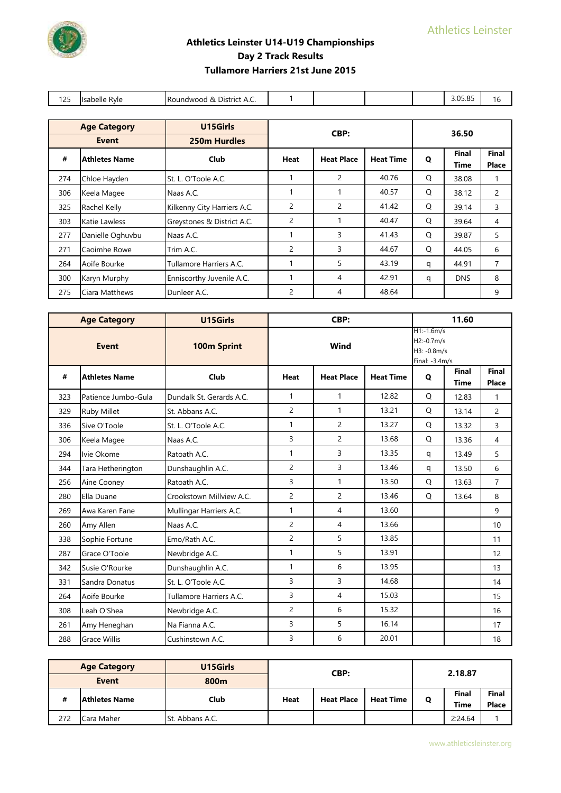| 125 | Isabelle Ryle                   | Roundwood & District A.C.   |                |                   |                  |   | 3.05.85              | 16             |
|-----|---------------------------------|-----------------------------|----------------|-------------------|------------------|---|----------------------|----------------|
|     |                                 |                             |                |                   |                  |   |                      |                |
|     | <b>Age Category</b><br>U15Girls |                             |                |                   |                  |   |                      |                |
|     | Event                           | 250m Hurdles                | CBP:           |                   | 36.50            |   |                      |                |
| #   | <b>Athletes Name</b>            | Club                        | Heat           | <b>Heat Place</b> | <b>Heat Time</b> | Q | Final<br><b>Time</b> | Final<br>Place |
| 274 | Chloe Hayden                    | St. L. O'Toole A.C.         |                | 2                 | 40.76            | Q | 38.08                | 1              |
| 306 | Keela Magee                     | Naas A.C.                   | 1              |                   | 40.57            | Q | 38.12                | 2              |
| 325 | Rachel Kelly                    | Kilkenny City Harriers A.C. | $\overline{c}$ | 2                 | 41.42            | Q | 39.14                | $\overline{3}$ |
| 303 | Katie Lawless                   | Greystones & District A.C.  | 2              | 1                 | 40.47            | Q | 39.64                | 4              |
| 277 | Danielle Oghuvbu                | Naas A.C.                   |                | 3                 | 41.43            | Q | 39.87                | 5              |
| 271 | Caoimhe Rowe                    | Trim A.C.                   | 2              | 3                 | 44.67            | Q | 44.05                | 6              |
| 264 | Aoife Bourke                    | Tullamore Harriers A.C.     |                | 5                 | 43.19            | q | 44.91                | $\overline{7}$ |
| 300 | Karyn Murphy                    | Enniscorthy Juvenile A.C.   | 1              | 4                 | 42.91            | q | <b>DNS</b>           | 8              |
| 275 | Ciara Matthews                  | Dunleer A.C.                | $\overline{c}$ | 4                 | 48.64            |   |                      | 9              |

|     | <b>Age Category</b>  | U15Girls                 |                | CBP:              |                  |                                                                | 11.60                       |                |
|-----|----------------------|--------------------------|----------------|-------------------|------------------|----------------------------------------------------------------|-----------------------------|----------------|
|     | <b>Event</b>         | 100m Sprint              |                | Wind              |                  | $H1:-1.6m/s$<br>$H2: -0.7m/s$<br>H3: -0.8m/s<br>Final: -3.4m/s |                             |                |
| #   | <b>Athletes Name</b> | Club                     | <b>Heat</b>    | <b>Heat Place</b> | <b>Heat Time</b> | $\mathbf{o}$                                                   | <b>Final</b><br><b>Time</b> | Final<br>Place |
| 323 | Patience Jumbo-Gula  | Dundalk St. Gerards A.C. | $\mathbf{1}$   | 1                 | 12.82            | Q                                                              | 12.83                       | $\mathbf{1}$   |
| 329 | Ruby Millet          | St. Abbans A.C.          | $\overline{2}$ | $\mathbf{1}$      | 13.21            | Q                                                              | 13.14                       | $\overline{2}$ |
| 336 | Sive O'Toole         | St. L. O'Toole A.C.      | $\mathbf{1}$   | $\overline{2}$    | 13.27            | Q                                                              | 13.32                       | 3              |
| 306 | Keela Magee          | Naas A.C.                | $\overline{3}$ | $\overline{2}$    | 13.68            | Q                                                              | 13.36                       | $\overline{4}$ |
| 294 | Ivie Okome           | Ratoath A.C.             | $\mathbf{1}$   | $\overline{3}$    | 13.35            | q                                                              | 13.49                       | 5              |
| 344 | Tara Hetherington    | Dunshaughlin A.C.        | $\overline{c}$ | 3                 | 13.46            | q                                                              | 13.50                       | 6              |
| 256 | Aine Cooney          | Ratoath A.C.             | 3              | $\mathbf{1}$      | 13.50            | Q                                                              | 13.63                       | $\overline{7}$ |
| 280 | Ella Duane           | Crookstown Millview A.C. | $\overline{2}$ | $\overline{c}$    | 13.46            | Q                                                              | 13.64                       | 8              |
| 269 | Awa Karen Fane       | Mullingar Harriers A.C.  | $\mathbf{1}$   | 4                 | 13.60            |                                                                |                             | 9              |
| 260 | Amy Allen            | Naas A.C.                | $\overline{c}$ | $\overline{4}$    | 13.66            |                                                                |                             | 10             |
| 338 | Sophie Fortune       | Emo/Rath A.C.            | $\overline{c}$ | 5                 | 13.85            |                                                                |                             | 11             |
| 287 | Grace O'Toole        | Newbridge A.C.           | $\mathbf{1}$   | 5                 | 13.91            |                                                                |                             | 12             |
| 342 | Susie O'Rourke       | Dunshaughlin A.C.        | $\mathbf{1}$   | 6                 | 13.95            |                                                                |                             | 13             |
| 331 | Sandra Donatus       | St. L. O'Toole A.C.      | 3              | 3                 | 14.68            |                                                                |                             | 14             |
| 264 | Aoife Bourke         | Tullamore Harriers A.C.  | 3              | 4                 | 15.03            |                                                                |                             | 15             |
| 308 | Leah O'Shea          | Newbridge A.C.           | $\overline{2}$ | 6                 | 15.32            |                                                                |                             | 16             |
| 261 | Amy Heneghan         | Na Fianna A.C.           | 3              | 5                 | 16.14            |                                                                |                             | 17             |
| 288 | Grace Willis         | Cushinstown A.C.         | 3              | 6                 | 20.01            |                                                                |                             | 18             |

|     | <b>Age Category</b>  | U15Girls               | CBP:        |                                       | 2.18.87 |   |             |              |
|-----|----------------------|------------------------|-------------|---------------------------------------|---------|---|-------------|--------------|
|     | <b>Event</b>         | 800m                   |             |                                       |         |   |             |              |
| #   | <b>Athletes Name</b> | Club                   | <b>Heat</b> | <b>Heat Time</b><br><b>Heat Place</b> |         | Q | Final       | <b>Final</b> |
|     |                      |                        |             |                                       |         |   | <b>Time</b> | <b>Place</b> |
| 272 | Cara Maher           | <b>St. Abbans A.C.</b> |             |                                       |         |   | 2:24.64     |              |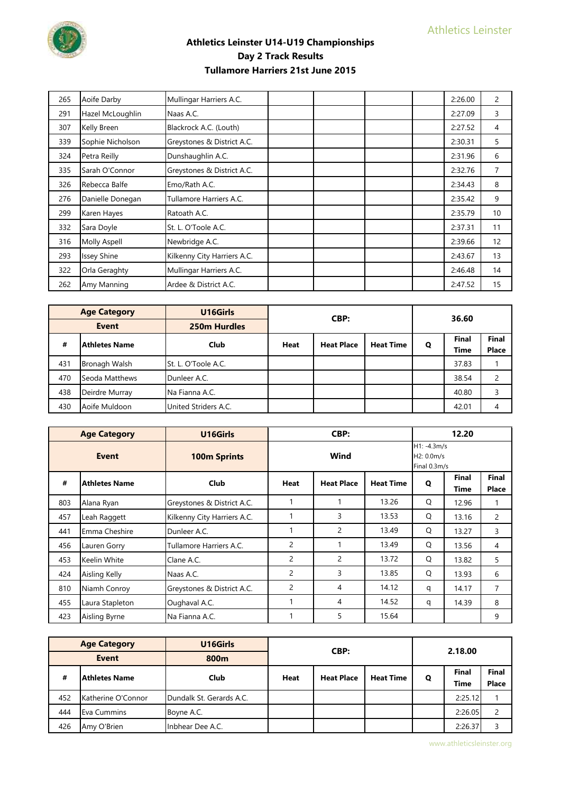

| 265 | Aoife Darby         | Mullingar Harriers A.C.     | 2:26.00 | $\overline{c}$ |
|-----|---------------------|-----------------------------|---------|----------------|
| 291 | Hazel McLoughlin    | Naas A.C.                   | 2:27.09 | 3              |
| 307 | Kelly Breen         | Blackrock A.C. (Louth)      | 2:27.52 | 4              |
| 339 | Sophie Nicholson    | Greystones & District A.C.  | 2:30.31 | 5              |
| 324 | Petra Reilly        | Dunshaughlin A.C.           | 2:31.96 | 6              |
| 335 | Sarah O'Connor      | Greystones & District A.C.  | 2:32.76 | 7              |
| 326 | Rebecca Balfe       | Emo/Rath A.C.               | 2:34.43 | 8              |
| 276 | Danielle Donegan    | Tullamore Harriers A.C.     | 2:35.42 | 9              |
| 299 | Karen Hayes         | Ratoath A.C.                | 2:35.79 | 10             |
| 332 | Sara Doyle          | St. L. O'Toole A.C.         | 2:37.31 | 11             |
| 316 | <b>Molly Aspell</b> | Newbridge A.C.              | 2:39.66 | 12             |
| 293 | Issey Shine         | Kilkenny City Harriers A.C. | 2:43.67 | 13             |
| 322 | Orla Geraghty       | Mullingar Harriers A.C.     | 2:46.48 | 14             |
| 262 | Amy Manning         | Ardee & District A.C.       | 2:47.52 | 15             |

| <b>Age Category</b><br><b>Event</b> |                | U16Girls             |             | CBP:                                  |   | 36.60 |             |       |
|-------------------------------------|----------------|----------------------|-------------|---------------------------------------|---|-------|-------------|-------|
|                                     |                | 250m Hurdles         |             |                                       |   |       |             |       |
| #                                   | Athletes Name  | Club                 | <b>Heat</b> | <b>Heat Place</b><br><b>Heat Time</b> | Q | Final | Final       |       |
|                                     |                |                      |             |                                       |   |       | <b>Time</b> | Place |
| 431                                 | Bronagh Walsh  | St. L. O'Toole A.C.  |             |                                       |   |       | 37.83       |       |
| 470                                 | Seoda Matthews | Dunleer A.C.         |             |                                       |   |       | 38.54       |       |
| 438                                 | Deirdre Murray | Na Fianna A.C.       |             |                                       |   |       | 40.80       |       |
| 430                                 | Aoife Muldoon  | United Striders A.C. |             |                                       |   |       | 42.01       |       |

|     | <b>Age Category</b>                  | U16Girls                    |                | CBP:                                        |                  |   | 12.20         |                       |
|-----|--------------------------------------|-----------------------------|----------------|---------------------------------------------|------------------|---|---------------|-----------------------|
|     | Wind<br>Event<br><b>100m Sprints</b> |                             |                | $H1: -4.3m/s$<br>H2: 0.0m/s<br>Final 0.3m/s |                  |   |               |                       |
| #   | <b>Athletes Name</b>                 | <b>Club</b>                 | Heat           | <b>Heat Place</b>                           | <b>Heat Time</b> | Q | Final<br>Time | Final<br><b>Place</b> |
| 803 | Alana Ryan                           | Greystones & District A.C.  |                |                                             | 13.26            | O | 12.96         | 1                     |
| 457 | Leah Raggett                         | Kilkenny City Harriers A.C. |                | 3                                           | 13.53            | Q | 13.16         | 2                     |
| 441 | Emma Cheshire                        | Dunleer A.C.                |                | $\overline{2}$                              | 13.49            | Q | 13.27         | 3                     |
| 456 | Lauren Gorry                         | Tullamore Harriers A.C.     | $\overline{c}$ |                                             | 13.49            | Q | 13.56         | 4                     |
| 453 | Keelin White                         | Clane A.C.                  | $\overline{c}$ | $\overline{2}$                              | 13.72            | Q | 13.82         | 5                     |
| 424 | Aisling Kelly                        | Naas A.C.                   | $\overline{2}$ | 3                                           | 13.85            | Q | 13.93         | 6                     |
| 810 | Niamh Conroy                         | Greystones & District A.C.  | 2              | 4                                           | 14.12            | q | 14.17         | 7                     |
| 455 | Laura Stapleton                      | Oughaval A.C.               |                | 4                                           | 14.52            | q | 14.39         | 8                     |
| 423 | Aisling Byrne                        | Na Fianna A.C.              |                | 5                                           | 15.64            |   |               | 9                     |

|              | <b>Age Category</b> | U16Girls                 |                                               | CBP: |             |       | 2.18.00 |       |
|--------------|---------------------|--------------------------|-----------------------------------------------|------|-------------|-------|---------|-------|
| <b>Event</b> |                     | 800m                     |                                               |      |             |       |         |       |
| #            | Athletes Name       | Club                     | <b>Heat Place</b><br><b>Heat Time</b><br>Heat |      |             | Q     | Final   | Final |
|              |                     |                          |                                               |      | <b>Time</b> | Place |         |       |
| 452          | Katherine O'Connor  | Dundalk St. Gerards A.C. |                                               |      |             |       | 2:25.12 |       |
| 444          | Eva Cummins         | Boyne A.C.               |                                               |      |             |       | 2:26.05 |       |
| 426          | Amy O'Brien         | Inbhear Dee A.C.         |                                               |      |             |       | 2:26.37 |       |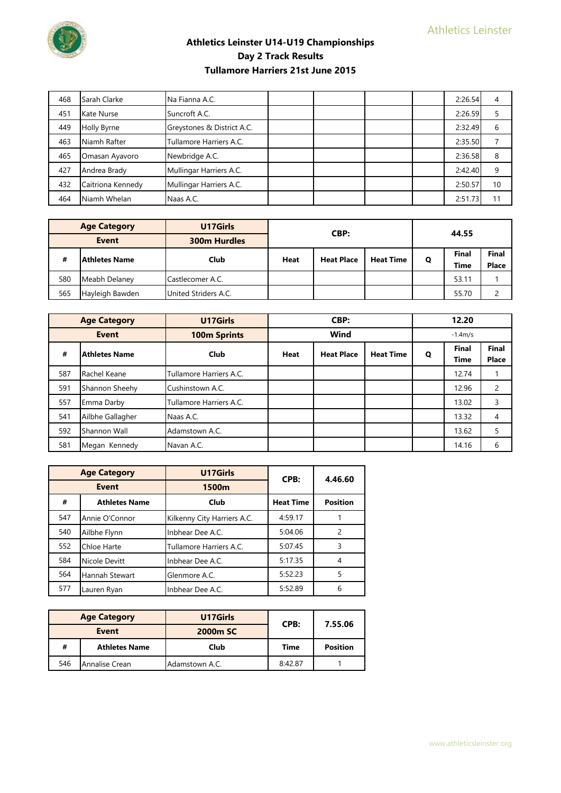

| 468 | Sarah Clarke      | Na Fianna A.C.             |  |  | 2:26.54 |    |
|-----|-------------------|----------------------------|--|--|---------|----|
| 451 | Kate Nurse        | Suncroft A.C.              |  |  | 2:26.59 |    |
| 449 | Holly Byrne       | Greystones & District A.C. |  |  | 2:32.49 | 6  |
| 463 | Niamh Rafter      | Tullamore Harriers A.C.    |  |  | 2:35.50 |    |
| 465 | Omasan Ayavoro    | Newbridge A.C.             |  |  | 2:36.58 | 8  |
| 427 | Andrea Brady      | Mullingar Harriers A.C.    |  |  | 2:42.40 | 9  |
| 432 | Caitriona Kennedy | Mullingar Harriers A.C.    |  |  | 2:50.57 | 10 |
| 464 | Niamh Whelan      | Naas A.C.                  |  |  | 2:51.73 | 11 |

| <b>Age Category</b> |                 | U17Girls             |                                  | CBP: |                  |             | 44.55 |              |  |
|---------------------|-----------------|----------------------|----------------------------------|------|------------------|-------------|-------|--------------|--|
| <b>Event</b>        |                 | <b>300m Hurdles</b>  |                                  |      |                  |             |       |              |  |
| #                   | lAthletes Name  | Club                 | <b>Heat Place</b><br><b>Heat</b> |      | <b>Heat Time</b> | Q           | Final | <b>Final</b> |  |
|                     |                 |                      |                                  |      |                  | <b>Time</b> | Place |              |  |
| 580                 | Meabh Delaney   | Castlecomer A.C.     |                                  |      |                  |             | 53.11 |              |  |
| 565                 | Hayleigh Bawden | United Striders A.C. |                                  |      |                  |             | 55.70 |              |  |

|              | <b>Age Category</b>  | U17Girls                | CBP: |                   |                  | 12.20 |                      |                       |
|--------------|----------------------|-------------------------|------|-------------------|------------------|-------|----------------------|-----------------------|
| <b>Event</b> |                      | <b>100m Sprints</b>     | Wind |                   | $-1.4m/s$        |       |                      |                       |
| #            | <b>Athletes Name</b> | Club                    | Heat | <b>Heat Place</b> | <b>Heat Time</b> | Q     | <b>Final</b><br>Time | <b>Final</b><br>Place |
| 587          | Rachel Keane         | Tullamore Harriers A.C. |      |                   |                  |       | 12.74                |                       |
| 591          | Shannon Sheehy       | Cushinstown A.C.        |      |                   |                  |       | 12.96                | $\overline{2}$        |
| 557          | Emma Darby           | Tullamore Harriers A.C. |      |                   |                  |       | 13.02                | 3                     |
| 541          | Ailbhe Gallagher     | Naas A.C.               |      |                   |                  |       | 13.32                | $\overline{4}$        |
| 592          | Shannon Wall         | Adamstown A.C.          |      |                   |                  |       | 13.62                | 5                     |
| 581          | Megan Kennedy        | Navan A.C.              |      |                   |                  |       | 14.16                | 6                     |

|     | <b>Age Category</b>  | U17Girls                    | CPB:             | 4.46.60         |  |
|-----|----------------------|-----------------------------|------------------|-----------------|--|
|     | <b>Event</b>         | 1500m                       |                  |                 |  |
| #   | <b>Athletes Name</b> | Club                        | <b>Heat Time</b> | <b>Position</b> |  |
| 547 | Annie O'Connor       | Kilkenny City Harriers A.C. | 4:59.17          |                 |  |
| 540 | Ailbhe Flynn         | Inbhear Dee A.C.            | 5:04.06          | 2               |  |
| 552 | Chloe Harte          | Tullamore Harriers A.C.     | 5:07.45          | 3               |  |
| 584 | Nicole Devitt        | Inbhear Dee A.C.            | 5:17.35          |                 |  |
| 564 | Hannah Stewart       | Glenmore A.C.               | 5:52.23          |                 |  |
| 577 | Lauren Ryan          | Inbhear Dee A.C.            | 5:52.89          | b               |  |

| <b>Age Category</b><br>Event |                      | U17Girls       | CPB:    | 7.55.06         |
|------------------------------|----------------------|----------------|---------|-----------------|
|                              |                      | 2000m SC       |         |                 |
| #                            | <b>Athletes Name</b> | Club           | Time    | <b>Position</b> |
| 546                          | Annalise Crean       | Adamstown A.C. | 8:42.87 |                 |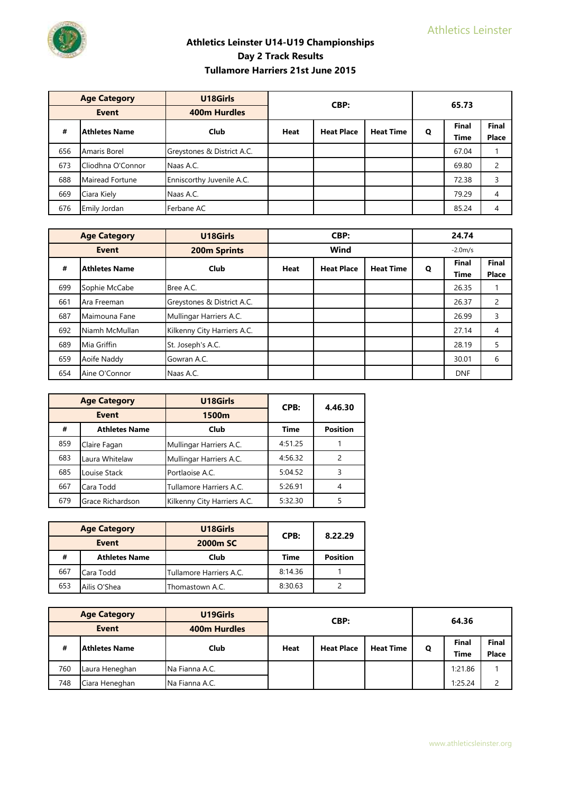

| <b>Age Category</b>       |                   | U18Girls                   | CBP:        |                   | 65.73            |   |              |              |  |
|---------------------------|-------------------|----------------------------|-------------|-------------------|------------------|---|--------------|--------------|--|
| <b>Event</b>              |                   | <b>400m Hurdles</b>        |             |                   |                  |   |              |              |  |
| <b>Athletes Name</b><br># |                   | <b>Club</b>                | <b>Heat</b> | <b>Heat Place</b> | <b>Heat Time</b> | Q | <b>Final</b> | Final        |  |
|                           |                   |                            |             |                   |                  |   | <b>Time</b>  | <b>Place</b> |  |
| 656                       | Amaris Borel      | Greystones & District A.C. |             |                   |                  |   | 67.04        |              |  |
| 673                       | Cliodhna O'Connor | Naas A.C.                  |             |                   |                  |   | 69.80        | 2            |  |
| 688                       | Mairead Fortune   | Enniscorthy Juvenile A.C.  |             |                   |                  |   | 72.38        | 3            |  |
| 669                       | Ciara Kiely       | Naas A.C.                  |             |                   |                  |   | 79.29        | 4            |  |
| 676                       | Emily Jordan      | Ferbane AC                 |             |                   |                  |   | 85.24        | 4            |  |

|     | <b>Age Category</b> | U18Girls                    |             | CBP:              |                  |              | 24.74         |                |
|-----|---------------------|-----------------------------|-------------|-------------------|------------------|--------------|---------------|----------------|
|     | <b>Event</b>        | 200m Sprints                | Wind        |                   | $-2.0m/s$        |              |               |                |
| #   | Athletes Name       | Club                        | <b>Heat</b> | <b>Heat Place</b> | <b>Heat Time</b> | $\mathbf{o}$ | Final<br>Time | Final<br>Place |
| 699 | Sophie McCabe       | Bree A.C.                   |             |                   |                  |              | 26.35         |                |
| 661 | Ara Freeman         | Greystones & District A.C.  |             |                   |                  |              | 26.37         | $\overline{2}$ |
| 687 | Maimouna Fane       | Mullingar Harriers A.C.     |             |                   |                  |              | 26.99         | 3              |
| 692 | Niamh McMullan      | Kilkenny City Harriers A.C. |             |                   |                  |              | 27.14         | 4              |
| 689 | Mia Griffin         | St. Joseph's A.C.           |             |                   |                  |              | 28.19         | 5              |
| 659 | Aoife Naddy         | Gowran A.C.                 |             |                   |                  |              | 30.01         | 6              |
| 654 | Aine O'Connor       | Naas A.C.                   |             |                   |                  |              | <b>DNF</b>    |                |

|              | <b>Age Category</b>          | U18Girls                    | CPB:        | 4.46.30         |  |
|--------------|------------------------------|-----------------------------|-------------|-----------------|--|
| <b>Event</b> |                              | 1500m                       |             |                 |  |
| #            | <b>Athletes Name</b><br>Club |                             | <b>Time</b> | <b>Position</b> |  |
| 859          | Claire Fagan                 | Mullingar Harriers A.C.     | 4:51.25     |                 |  |
| 683          | Laura Whitelaw               | Mullingar Harriers A.C.     | 4:56.32     | っ               |  |
| 685          | Louise Stack                 | Portlaoise A.C.             | 5:04.52     | 3               |  |
| 667          | Cara Todd                    | Tullamore Harriers A.C.     | 5:26.91     |                 |  |
| 679          | Grace Richardson             | Kilkenny City Harriers A.C. | 5:32.30     |                 |  |

| <b>Age Category</b><br>Event |                      | U18Girls                | CPB:    | 8.22.29         |  |
|------------------------------|----------------------|-------------------------|---------|-----------------|--|
|                              |                      | 2000 <sub>m</sub> SC    |         |                 |  |
| #                            | <b>Athletes Name</b> | Club                    | Time    | <b>Position</b> |  |
| 667                          | Cara Todd            | Tullamore Harriers A.C. | 8:14.36 |                 |  |
| 653                          | Ailis O'Shea         | Thomastown A.C.         | 8:30.63 |                 |  |

|              | <b>Age Category</b>  | U19Girls            | CBP:                             |  | 64.36            |             |              |              |
|--------------|----------------------|---------------------|----------------------------------|--|------------------|-------------|--------------|--------------|
| <b>Event</b> |                      | <b>400m Hurdles</b> |                                  |  |                  |             |              |              |
| #            | <b>Athletes Name</b> | Club                | <b>Heat Place</b><br><b>Heat</b> |  | <b>Heat Time</b> | Q           | <b>Final</b> | <b>Final</b> |
|              |                      |                     |                                  |  |                  | <b>Time</b> | Place        |              |
| 760          | Laura Heneghan       | Na Fianna A.C.      |                                  |  |                  |             | 1:21.86      |              |
| 748          | Ciara Heneghan       | Na Fianna A.C.      |                                  |  |                  |             | 1:25.24      |              |